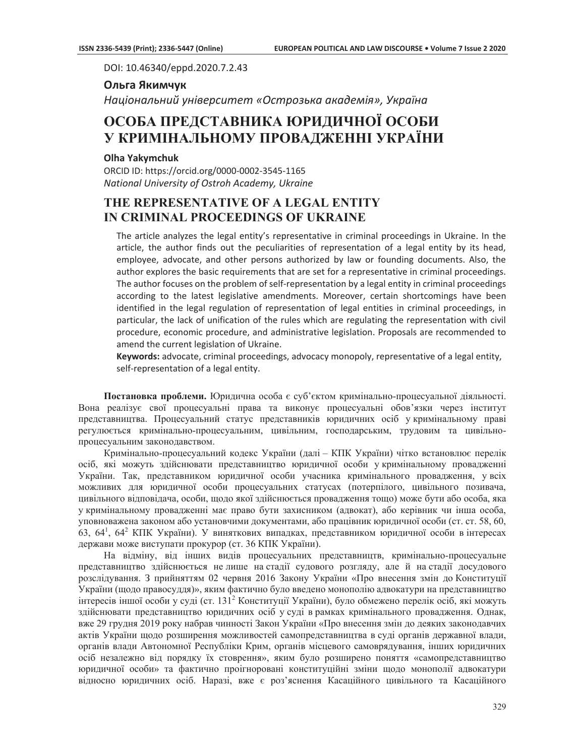DOI: 10.46340/eppd.2020.7.2.43

## **Ольга Якимчук**

*Національний університет «Острозька академія», Україна* 

# **ОСОБА ПРЕДСТАВНИКА ЮРИДИЧНОЇ ОСОБИ У КРИМІНАЛЬНОМУ ПРОВАДЖЕННІ УКРАЇНИ**

## **Olha Yakymchuk**

ORCID ID: https://orcid.org/0000-0002-3545-1165 *National University of Ostroh Academy, Ukraine* 

## **THE REPRESENTATIVE OF A LEGAL ENTITY IN CRIMINAL PROCEEDINGS OF UKRAINE**

The article analyzes the legal entity's representative in criminal proceedings in Ukraine. In the article, the author finds out the peculiarities of representation of a legal entity by its head, employee, advocate, and other persons authorized by law or founding documents. Also, the author explores the basic requirements that are set for a representative in criminal proceedings. The author focuses on the problem of self-representation by a legal entity in criminal proceedings according to the latest legislative amendments. Moreover, certain shortcomings have been identified in the legal regulation of representation of legal entities in criminal proceedings, in particular, the lack of unification of the rules which are regulating the representation with civil procedure, economic procedure, and administrative legislation. Proposals are recommended to amend the current legislation of Ukraine.

**Keywords:** advocate, criminal proceedings, advocacy monopoly, representative of a legal entity, self-representation of a legal entity.

Постановка проблеми. Юридична особа є суб'єктом кримінально-процесуальної діяльності. Вона реалізує свої процесуальні права та виконує процесуальні обов'язки через інститут представництва. Процесуальний статус представників юридичних осіб укримінальному праві регулюється кримінально-процесуальним, цивільним, господарським, трудовим та цивільнопроцесуальним законодавством.

Кримінально-процесуальний кодекс України (далі – КПК України) чітко встановлює перелік осіб, які можуть здійснювати представництво юридичної особи укримінальному провадженні України. Так, представником юридичної особи учасника кримінального провадження, у всіх можливих для юридичної особи процесуальних статусах (потерпілого, цивільного позивача, цивільного відповідача, особи, щодо якої здійснюється провадження тощо) може бути або особа, яка у кримінальному провадженні має право бути захисником (адвокат), або керівник чи інша особа, үповноважена законом або установчими документами, або працівник юридичної особи (ст. ст. 58, 60, 63, 64<sup>1</sup>, 64<sup>2</sup> КПК України). У виняткових випадках, представником юридичної особи в інтересах держави може виступати прокурор (ст. 36 КПК України).

На відміну, від інших видів процесуальних представництв, кримінально-процесуальне представництво здійснюється не лише на стадії судового розгляду, але й на стадії досудового розслідування. З прийняттям 02 червня 2016 Закону України «Про внесення змін до Конституції України (щодо правосуддя)», яким фактично було введено монополію адвокатури на представництво інтересів іншої особи у суді (ст. 131<sup>2</sup> Конституції України), було обмежено перелік осіб, які можуть здійснювати представництво юридичних осіб у суді в рамках кримінального провадження. Однак, вже 29 грудня 2019 року набрав чинності Закон України «Про внесення змін до деяких законодавчих актів України щодо розширення можливостей самопредставництва в суді органів державної влади, органів влади Автономної Республіки Крим, органів місцевого самоврядування, інших юридичних осіб незалежно від порядку їх стоврення», яким було розширено поняття «самопредставництво юридичної особи» та фактично проігноровані конституційні зміни щодо монополії адвокатури відносно юридичних осіб. Наразі, вже є роз'яснення Касаційного цивільного та Касаційного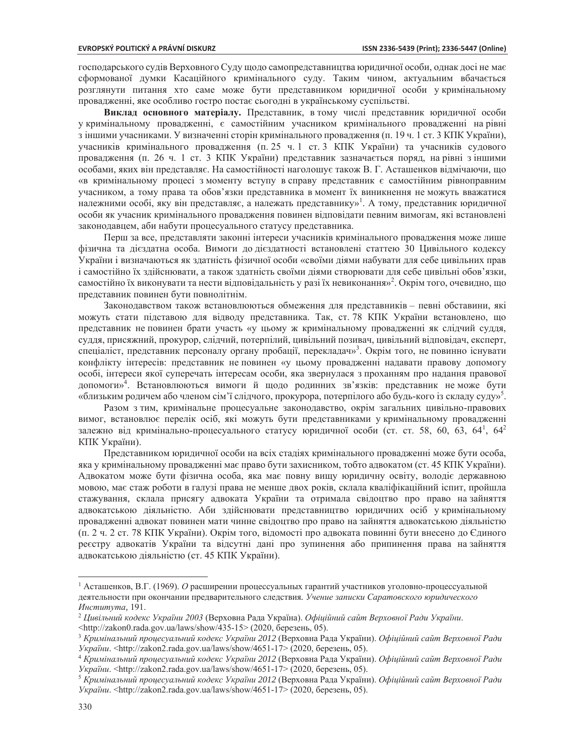господарського судів Верховного Суду щодо самопредставництва юридичної особи, однак досі не має сформованої думки Касаційного кримінального суду. Таким чином, актуальним вбачається розглянути питання хто саме може бути представником юридичної особи укримінальному провадженні, яке особливо гостро постає сьогодні в українському суспільстві.

Виклад основного матеріалу. Представник, в тому числі представник юридичної особи у кримінальному провадженні, є самостійним учасником кримінального провадженні на рівні з іншими учасниками. У визначенні сторін кримінального провадження (п. 19 ч. 1 ст. 3 КПК України), учасників кримінального провадження (п. 25 ч. 1 ст. 3 КПК України) та учасників судового провадження (п. 26 ч. 1 ст. 3 КПК України) представник зазначається поряд, на рівні з іншими особами, яких він представляє. На самостійності наголошує також В. Г. Асташенков відмічаючи, що «в кримінальному процесі з моменту вступу в справу представник є самостійним рівноправним учасником, а тому права та обов'язки представника в момент їх виникнення не можуть вважатися належними особі, яку він представляє, а належать представнику»<sup>1</sup>. А тому, представник юридичної особи як учасник кримінального провадження повинен відповідати певним вимогам, які встановлені законодавцем, аби набути процесуального статусу представника.

Перш за все, представляти законні інтереси учасників кримінального провадження може лише фізична та дієздатна особа. Вимоги до дієздатності встановлені статтею 30 Цивільного кодексу України і визначаються як здатність фізичної особи «своїми діями набувати для себе цивільних прав і самостійно їх здійснювати, а також здатність своїми діями створювати для себе цивільні обов'язки, самостійно їх виконувати та нести відповідальність у разі їх невиконання»<sup>2</sup>. Окрім того, очевидно, що представник повинен бути повнолітнім.

Законодавством також встановлюються обмеження для представників - певні обставини, які можуть стати підставою для відводу представника. Так, ст. 78 КПК України встановлено, що представник не повинен брати участь «у цьому ж кримінальному провадженні як слідчий суддя, суддя, присяжний, прокурор, слідчий, потерпілий, цивільний позивач, цивільний відповідач, експерт, спеціаліст, представник персоналу органу пробації, перекладач»<sup>3</sup>. Окрім того, не повинно існувати конфлікту інтересів: представник не повинен «у цьому провадженні надавати правову допомогу особі, інтереси якої суперечать інтересам особи, яка звернулася з проханням про надання правової допомоги»<sup>4</sup>. Встановлюються вимоги й щодо родинних зв'язків: представник неможе бути «близьким родичем або членом сім'ї слідчого, прокурора, потерпілого або будь-кого із складу суду»<sup>5</sup>.

Разом з тим, кримінальне процесуальне законодавство, окрім загальних цивільно-правових вимог, встановлює перелік осіб, які можуть бути представниками у кримінальному провадженні залежно від кримінально-процесуального статусу юридичної особи (ст. ст. 58, 60, 63, 64<sup>1</sup>, 64<sup>2</sup> КПК України).

Представником юридичної особи на всіх стадіях кримінального провадженні може бути особа, яка у кримінальному провадженні має право бути захисником, тобто адвокатом (ст. 45 КПК України). Адвокатом може бути фізична особа, яка має повну вищу юридичну освіту, володіє державною мовою, має стаж роботи в галузі права не менше двох років, склала кваліфікаційний іспит, пройшла стажування, склала присягу адвоката України та отримала свідоцтво про право назайняття адвокатською діяльністю. Аби здійснювати представництво юридичних осіб у кримінальному провалженні алвокат повинен мати чинне свілоцтво про право на зайняття алвокатською ліяльністю (п. 2 ч. 2 ст. 78 КПК України). Окрім того, відомості про адвоката повинні бути внесено до Єдиного реєстру адвокатів України та відсутні дані про зупинення або припинення права на зайняття адвокатською діяльністю (ст. 45 КПК України).

<sup>&</sup>lt;sup>1</sup> Асташенков, В.Г. (1969). *О* расширении процессуальных гарантий участников уголовно-процессуальной деятельности при окончании предварительного следствия. Учение записки Саратовского юридического *Института,*

<sup>&</sup>lt;sup>2</sup> Цивільний кодекс України 2003 (Верховна Рада Україна). Офіційний сайт Верховної Ради України.

 $\frac{\text{th}}{\text{t}}/z$ akon $0.\text{rad}$ a.gov.ua/laws/show/435-15>(2020, березень, 05).

<sup>&</sup>lt;sup>3</sup> Кримінальний процесуальний кодекс України 2012 (Верховна Рада України). Офіційний сайт Верховної Ради України. <http://zakon2.rada.gov.ua/laws/show/4651-17> (2020, березень, 05).

*Кримінальний процесуальний кодекс України 2012*ȼɟɪɯɨɜɧɚɊɚɞɚɍɤɪɚʀɧɢ*Офіційний сайт Верховної Ради* України. <http://zakon2.rada.gov.ua/laws/show/4651-17> (2020, березень, 05).

*Кримінальний процесуальний кодекс України 2012*ȼɟɪɯɨɜɧɚɊɚɞɚɍɤɪɚʀɧɢ*Офіційний сайт Верховної Ради України*. <http://zakon2.rada.gov.ua/laws/show/4651-17> (2020, березень, 05).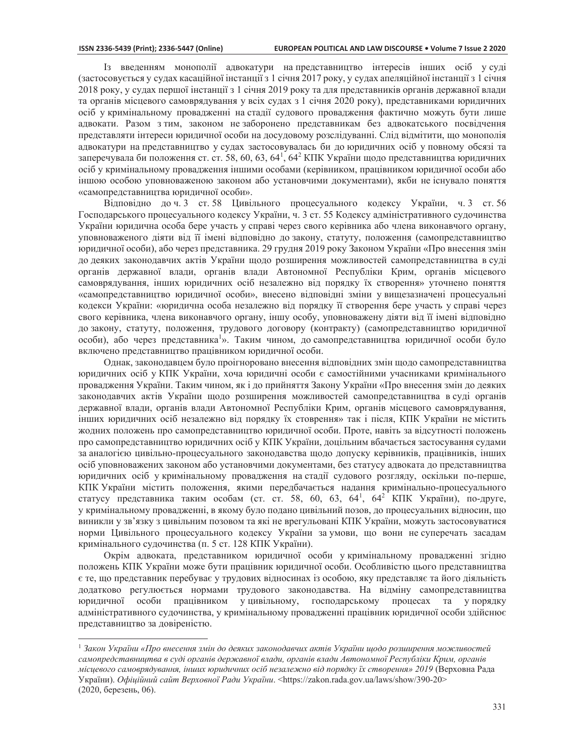Гз введенням монополії адвокатури напредставництво інтересів інших осіб у суді (застосовується у судах касаційної інстанції з 1 січня 2017 року, у судах апеляційної інстанції з 1 січня 2018 року, у судах першої інстанції з 1 січня 2019 року та для представників органів державної влади та органів місцевого самоврядування у всіх судах з 1 січня 2020 року), представниками юридичних осіб у кримінальному провадженні на стадії судового провадження фактично можуть бути лише адвокати. Разом з тим, законом не заборонено представникам без адвокатського посвідчення представляти інтереси юридичної особи на досудовому розслідуванні. Слід відмітити, що монополія адвокатури на представництво у судах застосовувалась би до юридичних осіб у повному обсязі та заперечувала би положення ст. ст. 58, 60, 63, 64<sup>1</sup>, 64<sup>2</sup> КПК України щодо представництва юридичних осіб у кримінальному провадження іншими особами (керівником, працівником юридичної особи або іншою особою уповноваженою законом або установчими документами), якби не існувало поняття «самопредставництва юридичної особи».

Відповідно до ч. 3 ст. 58 Цивільного процесуального кодексу України, ч. 3 ст. 56 Господарського процесуального кодексу України, ч. 3 ст. 55 Кодексу адміністративного судочинства України юридична особа бере участь у справі через свого керівника або члена виконавчого органу, уповноваженого діяти від її імені відповідно до закону, статуту, положення (самопредставництво юридичної особи), або через представника. 29 грудня 2019 року Законом України «Про внесення змін до деяких законодавчих актів України щодо розширення можливостей самопредставництва в суді органів державної влади, органів влади Автономної Республіки Крим, органів місцевого самоврядування, інших юридичних осіб незалежно від порядку їх створення» уточнено поняття «самопредставництво юридичної особи», внесено відповідні зміни у вищезазначені процесуальні кодекси України: «юридична особа незалежно від порядку її створення бере участь у справі через свого керівника, члена виконавчого органу, іншу особу, уповноважену діяти від її імені відповідно до закону, статуту, положення, трудового договору (контракту) (самопредставництво юридичної особи), або через представника<sup>1</sup>». Таким чином, до самопредставництва юридичної особи було включено представництво працівником юридичної особи.

Однак, законодавцем було проігноровано внесення відповідних змін щодо самопредставництва юридичних осіб у КПК України, хоча юридичні особи є самостійними учасниками кримінального провадження України. Таким чином, як і до прийняття Закону України «Про внесення змін до деяких законодавчих актів України щодо розширення можливостей самопредставництва в суді органів державної влади, органів влади Автономної Республіки Крим, органів місцевого самоврядування, інших юридичних осіб незалежно від порядку їх стоврення» так і після, КПК України не містить жодних положень про самопредставництво юридичної особи. Проте, навіть за відсутності положень про самопредставництво юридичних осіб у КПК України, доцільним вбачається застосування судами за аналогією цивільно-процесуального законодавства щодо допуску керівників, працівників, інших осіб уповноважених законом або установчими документами, без статусу адвоката до представництва юридичних осіб у кримінальному провадження на стадії судового розгляду, оскільки по-перше, КПК України містить положення, якими передбачається надання кримінально-процесуального статусу представника таким особам (ст. ст. 58, 60, 63, 64<sup>1</sup>, 64<sup>2</sup> КПК України), по-друге, у кримінальному провадженні, в якому було подано цивільний позов, до процесуальних відносин, що виникли у зв'язку з цивільним позовом та які не врегульовані КПК України, можуть застосовуватися норми Цивільного процесуального кодексу України за умови, що вони не суперечать засадам кримінального судочинства (п. 5 ст. 128 КПК України).

Окрім адвоката, представником юридичної особи укримінальному провадженні згідно положень КПК України може бути працівник юридичної особи. Особливістю цього представництва є те, що представник перебуває у трудових відносинах із особою, яку представляє та його діяльність додатково регулюється нормами трудового законодавства. На відміну самопредставництва юридичної особи працівником уцивільному, господарському процесах та упорядку адміністративного судочинства, у кримінальному провадженні працівник юридичної особи здійснює представництво за довіреністю.

*Закон України «Про внесення змін до деяких законодавчих актів України щодо розширення можливостей самопредставництва в суді органів державної влади, органів влади Автономної Республіки Крим, органів* лісцевого самоврядування, інших юридичних осіб незалежно від порядку їх створення» 2019 (Верховна Рада Vкраїни). Офіційний сайт Верховної Ради України. <https://zakon.rada.gov.ua/laws/show/390-20>  $(2020, 6e$ резень, 06).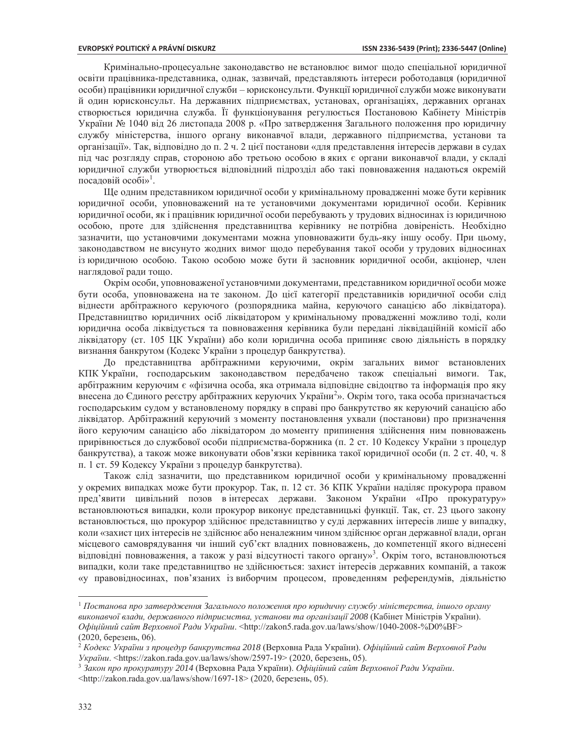Кримінально-процесуальне законодавство не встановлює вимог щодо спеціальної юридичної освіти працівника-представника, однак, зазвичай, представляють інтереси роботодавця (юридичної особи) працівники юридичної служби – юрисконсульти. Функції юридичної служби може виконувати й один юрисконсульт. На державних підприємствах, установах, організаціях, державних органах створюється юридична служба. Її функціонування регулюється Постановою Кабінету Міністрів України № 1040 від 26 листопада 2008 р. «Про затвердження Загального положення про юридичну службу міністерства, іншого органу виконавчої влади, державного підприємства, установи та організації». Так, відповідно до п. 2 ч. 2 цієї постанови «для представлення інтересів держави в судах під час розгляду справ, стороною або третьою особою в яких є органи виконавчої влади, у складі юридичної служби утворюється відповідний підрозділ або такі повноваження надаються окремій посадовій особі»<sup>1</sup>.

Ще одним представником юридичної особи у кримінальному провадженні може бути керівник юридичної особи, уповноважений на те установчими документами юридичної особи. Керівник юридичної особи, як і працівник юридичної особи перебувають у трудових відносинах із юридичною особою, проте для здійснення представництва керівнику непотрібна довіреність. Необхідно зазначити, що установчими документами можна уповноважити будь-яку іншу особу. При цьому, законодавством не висунуто жодних вимог щодо перебування такої особи у трудових відносинах із юридичною особою. Такою особою може бути й засновник юридичної особи, акціонер, член наглядової ради тощо.

Окрім особи, уповноваженої установчими документами, представником юридичної особи може бути особа, уповноважена на те законом. До цієї категорії представників юридичної особи слід віднести арбітражного керуючого (розпорядника майна, керуючого санацією або ліквідатора). Представництво юридичних осіб ліквідатором у кримінальному провадженні можливо тоді, коли юридична особа ліквідується та повноваження керівника були передані ліквідаційній комісії або ліквідатору (ст. 105 ЦК України) або коли юридична особа припиняє свою діяльність в порядку визнання банкрутом (Кодекс України з процедур банкрутства).

До представництва арбітражними керуючими, окрім загальних вимог встановлених КПК України, господарським законодавством передбачено також спеціальні вимоги. Так, арбітражним керуючим є «фізична особа, яка отримала відповідне свідоцтво та інформація про яку внесена до Єдиного реєстру арбітражних керуючих України<sup>2</sup>». Окрім того, така особа призначається господарським судом у встановленому порядку в справі про банкрутство як керуючий санацією або ліквідатор. Арбітражний керуючий з моменту постановлення ухвали (постанови) про призначення його керуючим санацією або ліквідатором до моменту припинення здійснення ним повноважень прирівнюється до службової особи підприємства-боржника (п. 2 ст. 10 Кодексу України з процедур банкрутства), а також може виконувати обов'язки керівника такої юридичної особи (п. 2 ст. 40, ч. 8 п. 1 ст. 59 Кодексу України з процедур банкрутства).

Також слід зазначити, що представником юридичної особи у кримінальному провадженні у окремих випадках може бути прокурор. Так, п. 12 ст. 36 КПК України наділяє прокурора правом пред'явити цивільний позов вінтересах держави. Законом України «Про прокуратуру» встановлюються випадки, коли прокурор виконує представницькі функції. Так, ст. 23 цього закону встановлюється, що прокурор здійснює представництво у суді державних інтересів лише у випадку, коли «захист цих інтересів не здійснює або неналежним чином здійснює орган державної влади, орган місцевого самоврядування чи інший суб'єкт владних повноважень, до компетенції якого віднесені відповідні повноваження, а також у разі відсутності такого органу»<sup>3</sup>. Окрім того, встановлюються випадки, коли таке представництво не здійснюється: захист інтересів державних компаній, а також «у правовідносинах, пов'язаних із виборчим процесом, проведенням референдумів, діяльністю

<u> 1989 - Johann Stein, fransk politik (d. 1989)</u>

*Постанова про затвердження Загального положення про юридичну службу міністерства, іншого органу* виконавчої влади, державного підприємства, установи та організації 2008 (Кабінет Міністрів України). *Офіційний сайт Верховної Ради України.* <http://zakon5.rada.gov.ua/laws/show/1040-2008-%D0%BF>  $(2020, 6e$ резень, 06).

<sup>&</sup>lt;sup>2</sup> Кодекс України з процедур банкрутства 2018 (Верховна Рада України). Офіційний сайт Верховної Ради *України*. <https://zakon.rada.gov.ua/laws/show/2597-19> (2020, березень, 05).

<sup>&</sup>lt;sup>3</sup> Закон про прокуратуру 2014 (Верховна Рада України). Офіційний сайт Верховної Ради України.  $\frac{\text{th}}{2020}$ , березень, 05).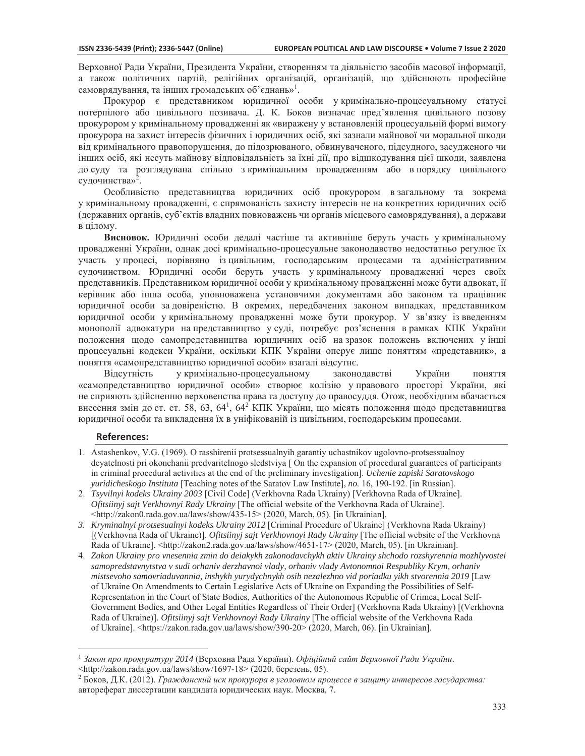Верховної Ради України, Президента України, створенням та діяльністю засобів масової інформації, а також політичних партій, релігійних організацій, організацій, що здійснюють професійне самоврядування, та інших громадських об'єднань»<sup>1</sup>.

Прокурор є представником юридичної особи укримінально-процесуальному статусі потерпілого або цивільного позивача. Д. К. Боков визначає пред'явлення цивільного позову прокурором у кримінальному провадженні як «виражену у встановленій процесуальній формі вимогу прокурора на захист інтересів фізичних і юридичних осіб, які зазнали майнової чи моральної шкоди від кримінального правопорушення, до підозрюваного, обвинуваченого, підсудного, засудженого чи інших осіб, які несуть майнову відповідальність за їхні дії, про відшкодування цієї шкоди, заявлена до суду та розглядувана спільно з кримінальним провадженням або в порядку цивільного судочинства»<sup>2</sup>.

Особливістю представництва юридичних осіб прокурором взагальному та зокрема у кримінальному провадженні, є спрямованість захисту інтересів не на конкретних юридичних осіб (державних органів, суб'єктів владних повноважень чи органів місцевого самоврядування), а держави в цілому.

Висновок. Юридичні особи дедалі частіше та активніше беруть участь у кримінальному провадженні України, однак досі кримінально-процесуальне законодавство недостатньо регулює їх участь упроцесі, порівняно ізцивільним, господарським процесами та адміністративним судочинством. Юридичні особи беруть участь укримінальному провадженні через своїх представників. Представником юридичної особи у кримінальному провадженні може бути адвокат, її керівник або інша особа, уповноважена установчими документами або законом та працівник юридичної особи за довіреністю. В окремих, передбачених законом випадках, представником юридичної особи укримінальному провадженні може бути прокурор. У зв'язку із введенням монополії адвокатури на представництво у суді, потребує роз'яснення в рамках КПК України положення щодо самопредставництва юридичних осіб назразок положень включених у інші процесуальні кодекси України, оскільки КПК України оперує лише поняттям «представник», а поняття «самопредставництво юридичної особи» взагалі відсутнє.

Відсутність у кримінально-процесуальному законодавстві України поняття «самопредставництво юридичної особи» створює колізію у правового просторі України, які не сприяють здійсненню верховенства права та доступу до правосуддя. Отож, необхідним вбачається внесення змін до ст. ст. 58, 63, 64<sup>1</sup>, 64<sup>2</sup> КПК України, що місять положення щодо представництва юридичної особи та викладення їх в уніфікованій із цивільним, господарським процесами.

## **References:**

- 1. Astashenkov, V.G. (1969). O rasshirenii protsessualnyih garantiy uchastnikov ugolovno-protsessualnoy deyatelnosti pri okonchanii predvaritelnogo sledstviya [ On the expansion of procedural guarantees of participants in criminal procedural activities at the end of the preliminary investigation]. Uchenie zapiski Saratovskogo *yuridicheskogo Instituta* [Teaching notes of the Saratov Law Institute], no. 16, 190-192. [in Russian].
- 2. Tsyvilnyi kodeks Ukrainy 2003 [Civil Code] (Verkhovna Rada Ukrainy) [Verkhovna Rada of Ukraine]. *Ofitsiinyj sajt Verkhovnyi Rady Ukrainy* [The official website of the Verkhovna Rada of Ukraine]. <http://zakon0.rada.gov.ua/laws/show/435-15> (2020, March, 05). [in Ukrainian].
- 3. Kryminalnyi protsesualnyi kodeks Ukrainy 2012 [Criminal Procedure of Ukraine] (Verkhovna Rada Ukrainy) [(Verkhovna Rada of Ukraine)]. Ofitsiinyj sajt Verkhovnoyi Rady Ukrainy [The official website of the Verkhovna Rada of Ukraine]. <http://zakon2.rada.gov.ua/laws/show/4651-17> (2020, March, 05). [in Ukrainian].
- *Zakon Ukrainy pro vnesennia zmin do deiakykh zakonodavchykh aktiv Ukrainy shchodo rozshyrennia mozhlyvostei samopredstavnytstva v sudi orhaniv derzhavnoi vlady, orhaniv vlady Avtonomnoi Respubliky Krym, orhaniv*  mistsevoho samovriaduvannia, inshykh yurydychnykh osib nezalezhno vid poriadku yikh stvorennia 2019 [Law of Ukraine On Amendments to Certain Legislative Acts of Ukraine on Expanding the Possibilities of Self-Representation in the Court of State Bodies, Authorities of the Autonomous Republic of Crimea, Local Self-Government Bodies, and Other Legal Entities Regardless of Their Order] (Verkhovna Rada Ukrainy) [(Verkhovna Rada of Ukraine)]. *Ofitsiinyj sajt Verkhovnoyi Rady Ukrainy* [The official website of the Verkhovna Rada of Ukraine]. <https://zakon.rada.gov.ua/laws/show/390-20> (2020, March, 06). [in Ukrainian].

<sup>&</sup>lt;sup>1</sup> Закон про прокуратуру 2014 (Верховна Рада України). Офіційний сайт Верховної Ради України.

<sup>&</sup>lt;http://zakon.rada.gov.ua/laws/show/1697-18> (2020, березень, 05).

ȻɨɤɨɜȾɄ*Гражданский иск прокурора в уголовном процессе в защиту интересов государства:*  автореферат диссертации кандидата юридических наук. Москва, 7.